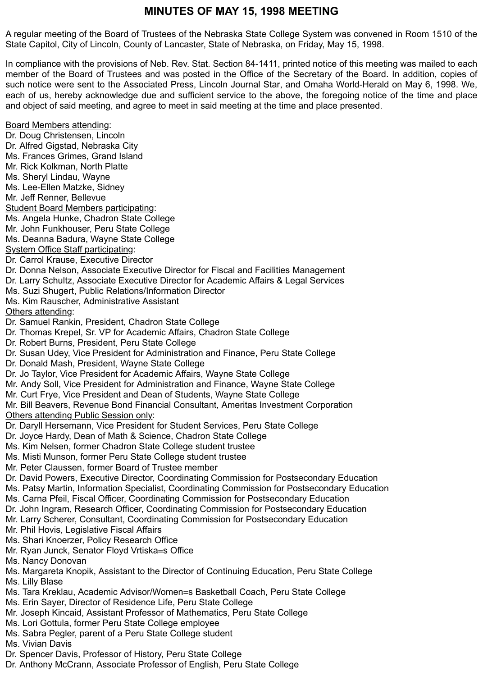# **MINUTES OF MAY 15, 1998 MEETING**

A regular meeting of the Board of Trustees of the Nebraska State College System was convened in Room 1510 of the State Capitol, City of Lincoln, County of Lancaster, State of Nebraska, on Friday, May 15, 1998.

In compliance with the provisions of Neb. Rev. Stat. Section 84-1411, printed notice of this meeting was mailed to each member of the Board of Trustees and was posted in the Office of the Secretary of the Board. In addition, copies of such notice were sent to the Associated Press, Lincoln Journal Star, and Omaha World-Herald on May 6, 1998. We, each of us, hereby acknowledge due and sufficient service to the above, the foregoing notice of the time and place and object of said meeting, and agree to meet in said meeting at the time and place presented.

Board Members attending: Dr. Doug Christensen, Lincoln Dr. Alfred Gigstad, Nebraska City Ms. Frances Grimes, Grand Island Mr. Rick Kolkman, North Platte Ms. Sheryl Lindau, Wayne Ms. Lee-Ellen Matzke, Sidney Mr. Jeff Renner, Bellevue Student Board Members participating: Ms. Angela Hunke, Chadron State College Mr. John Funkhouser, Peru State College Ms. Deanna Badura, Wayne State College System Office Staff participating: Dr. Carrol Krause, Executive Director Dr. Donna Nelson, Associate Executive Director for Fiscal and Facilities Management Dr. Larry Schultz, Associate Executive Director for Academic Affairs & Legal Services Ms. Suzi Shugert, Public Relations/Information Director Ms. Kim Rauscher, Administrative Assistant Others attending: Dr. Samuel Rankin, President, Chadron State College Dr. Thomas Krepel, Sr. VP for Academic Affairs, Chadron State College Dr. Robert Burns, President, Peru State College Dr. Susan Udey, Vice President for Administration and Finance, Peru State College Dr. Donald Mash, President, Wayne State College Dr. Jo Taylor, Vice President for Academic Affairs, Wayne State College Mr. Andy Soll, Vice President for Administration and Finance, Wayne State College Mr. Curt Frye, Vice President and Dean of Students, Wayne State College Mr. Bill Beavers, Revenue Bond Financial Consultant, Ameritas Investment Corporation Others attending Public Session only: Dr. Daryll Hersemann, Vice President for Student Services, Peru State College Dr. Joyce Hardy, Dean of Math & Science, Chadron State College Ms. Kim Nelsen, former Chadron State College student trustee Ms. Misti Munson, former Peru State College student trustee Mr. Peter Claussen, former Board of Trustee member Dr. David Powers, Executive Director, Coordinating Commission for Postsecondary Education Ms. Patsy Martin, Information Specialist, Coordinating Commission for Postsecondary Education Ms. Carna Pfeil, Fiscal Officer, Coordinating Commission for Postsecondary Education Dr. John Ingram, Research Officer, Coordinating Commission for Postsecondary Education Mr. Larry Scherer, Consultant, Coordinating Commission for Postsecondary Education Mr. Phil Hovis, Legislative Fiscal Affairs Ms. Shari Knoerzer, Policy Research Office Mr. Ryan Junck, Senator Floyd Vrtiska=s Office Ms. Nancy Donovan Ms. Margareta Knopik, Assistant to the Director of Continuing Education, Peru State College Ms. Lilly Blase Ms. Tara Kreklau, Academic Advisor/Women=s Basketball Coach, Peru State College Ms. Erin Sayer, Director of Residence Life, Peru State College Mr. Joseph Kincaid, Assistant Professor of Mathematics, Peru State College Ms. Lori Gottula, former Peru State College employee Ms. Sabra Pegler, parent of a Peru State College student Ms. Vivian Davis Dr. Spencer Davis, Professor of History, Peru State College Dr. Anthony McCrann, Associate Professor of English, Peru State College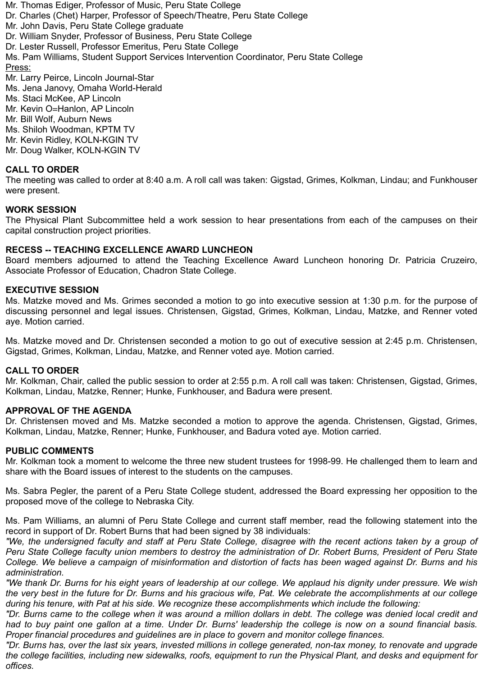Mr. Thomas Ediger, Professor of Music, Peru State College Dr. Charles (Chet) Harper, Professor of Speech/Theatre, Peru State College Mr. John Davis, Peru State College graduate Dr. William Snyder, Professor of Business, Peru State College Dr. Lester Russell, Professor Emeritus, Peru State College Ms. Pam Williams, Student Support Services Intervention Coordinator, Peru State College Press: Mr. Larry Peirce, Lincoln Journal-Star Ms. Jena Janovy, Omaha World-Herald Ms. Staci McKee, AP Lincoln Mr. Kevin O=Hanlon, AP Lincoln Mr. Bill Wolf, Auburn News Ms. Shiloh Woodman, KPTM TV Mr. Kevin Ridley, KOLN-KGIN TV Mr. Doug Walker, KOLN-KGIN TV

# **CALL TO ORDER**

The meeting was called to order at 8:40 a.m. A roll call was taken: Gigstad, Grimes, Kolkman, Lindau; and Funkhouser were present.

### **WORK SESSION**

The Physical Plant Subcommittee held a work session to hear presentations from each of the campuses on their capital construction project priorities.

### **RECESS -- TEACHING EXCELLENCE AWARD LUNCHEON**

Board members adjourned to attend the Teaching Excellence Award Luncheon honoring Dr. Patricia Cruzeiro, Associate Professor of Education, Chadron State College.

### **EXECUTIVE SESSION**

Ms. Matzke moved and Ms. Grimes seconded a motion to go into executive session at 1:30 p.m. for the purpose of discussing personnel and legal issues. Christensen, Gigstad, Grimes, Kolkman, Lindau, Matzke, and Renner voted aye. Motion carried.

Ms. Matzke moved and Dr. Christensen seconded a motion to go out of executive session at 2:45 p.m. Christensen, Gigstad, Grimes, Kolkman, Lindau, Matzke, and Renner voted aye. Motion carried.

#### **CALL TO ORDER**

Mr. Kolkman, Chair, called the public session to order at 2:55 p.m. A roll call was taken: Christensen, Gigstad, Grimes, Kolkman, Lindau, Matzke, Renner; Hunke, Funkhouser, and Badura were present.

### **APPROVAL OF THE AGENDA**

Dr. Christensen moved and Ms. Matzke seconded a motion to approve the agenda. Christensen, Gigstad, Grimes, Kolkman, Lindau, Matzke, Renner; Hunke, Funkhouser, and Badura voted aye. Motion carried.

### **PUBLIC COMMENTS**

Mr. Kolkman took a moment to welcome the three new student trustees for 1998-99. He challenged them to learn and share with the Board issues of interest to the students on the campuses.

Ms. Sabra Pegler, the parent of a Peru State College student, addressed the Board expressing her opposition to the proposed move of the college to Nebraska City.

Ms. Pam Williams, an alumni of Peru State College and current staff member, read the following statement into the record in support of Dr. Robert Burns that had been signed by 38 individuals:

*"We, the undersigned faculty and staff at Peru State College, disagree with the recent actions taken by a group of Peru State College faculty union members to destroy the administration of Dr. Robert Burns, President of Peru State College. We believe a campaign of misinformation and distortion of facts has been waged against Dr. Burns and his administration.*

*"We thank Dr. Burns for his eight years of leadership at our college. We applaud his dignity under pressure. We wish the very best in the future for Dr. Burns and his gracious wife, Pat. We celebrate the accomplishments at our college during his tenure, with Pat at his side. We recognize these accomplishments which include the following:*

*"Dr. Burns came to the college when it was around a million dollars in debt. The college was denied local credit and had to buy paint one gallon at a time. Under Dr. Burns' leadership the college is now on a sound financial basis. Proper financial procedures and guidelines are in place to govern and monitor college finances.*

*"Dr. Burns has, over the last six years, invested millions in college generated, non-tax money, to renovate and upgrade the college facilities, including new sidewalks, roofs, equipment to run the Physical Plant, and desks and equipment for offices.*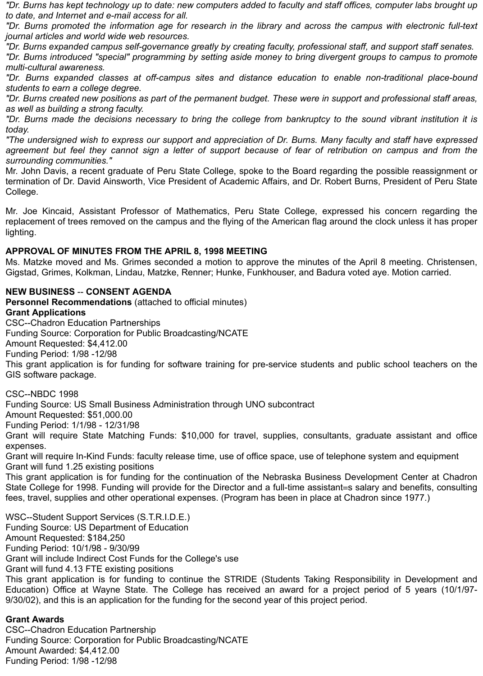*"Dr. Burns has kept technology up to date: new computers added to faculty and staff offices, computer labs brought up to date, and Internet and e-mail access for all.*

*"Dr. Burns promoted the information age for research in the library and across the campus with electronic full-text journal articles and world wide web resources.*

*"Dr. Burns expanded campus self-governance greatly by creating faculty, professional staff, and support staff senates.*

*"Dr. Burns introduced "special" programming by setting aside money to bring divergent groups to campus to promote multi-cultural awareness.*

*"Dr. Burns expanded classes at off-campus sites and distance education to enable non-traditional place-bound students to earn a college degree.*

*"Dr. Burns created new positions as part of the permanent budget. These were in support and professional staff areas, as well as building a strong faculty.*

*"Dr. Burns made the decisions necessary to bring the college from bankruptcy to the sound vibrant institution it is today.*

*"The undersigned wish to express our support and appreciation of Dr. Burns. Many faculty and staff have expressed agreement but feel they cannot sign a letter of support because of fear of retribution on campus and from the surrounding communities."*

Mr. John Davis, a recent graduate of Peru State College, spoke to the Board regarding the possible reassignment or termination of Dr. David Ainsworth, Vice President of Academic Affairs, and Dr. Robert Burns, President of Peru State College.

Mr. Joe Kincaid, Assistant Professor of Mathematics, Peru State College, expressed his concern regarding the replacement of trees removed on the campus and the flying of the American flag around the clock unless it has proper lighting.

## **APPROVAL OF MINUTES FROM THE APRIL 8, 1998 MEETING**

Ms. Matzke moved and Ms. Grimes seconded a motion to approve the minutes of the April 8 meeting. Christensen, Gigstad, Grimes, Kolkman, Lindau, Matzke, Renner; Hunke, Funkhouser, and Badura voted aye. Motion carried.

# **NEW BUSINESS** -- **CONSENT AGENDA**

**Personnel Recommendations** (attached to official minutes) **Grant Applications** CSC--Chadron Education Partnerships Funding Source: Corporation for Public Broadcasting/NCATE Amount Requested: \$4,412.00 Funding Period: 1/98 -12/98 This grant application is for funding for software training for pre-service students and public school teachers on the GIS software package.

CSC--NBDC 1998

Funding Source: US Small Business Administration through UNO subcontract

Amount Requested: \$51,000.00

Funding Period: 1/1/98 - 12/31/98

Grant will require State Matching Funds: \$10,000 for travel, supplies, consultants, graduate assistant and office expenses.

Grant will require In-Kind Funds: faculty release time, use of office space, use of telephone system and equipment Grant will fund 1.25 existing positions

This grant application is for funding for the continuation of the Nebraska Business Development Center at Chadron State College for 1998. Funding will provide for the Director and a full-time assistant=s salary and benefits, consulting fees, travel, supplies and other operational expenses. (Program has been in place at Chadron since 1977.)

WSC--Student Support Services (S.T.R.I.D.E.) Funding Source: US Department of Education Amount Requested: \$184,250 Funding Period: 10/1/98 - 9/30/99 Grant will include Indirect Cost Funds for the College's use Grant will fund 4.13 FTE existing positions This grant application is for funding to continue the STRIDE (Students Taking Responsibility in Development and Education) Office at Wayne State. The College has received an award for a project period of 5 years (10/1/97- 9/30/02), and this is an application for the funding for the second year of this project period.

## **Grant Awards**

CSC--Chadron Education Partnership Funding Source: Corporation for Public Broadcasting/NCATE Amount Awarded: \$4,412.00 Funding Period: 1/98 -12/98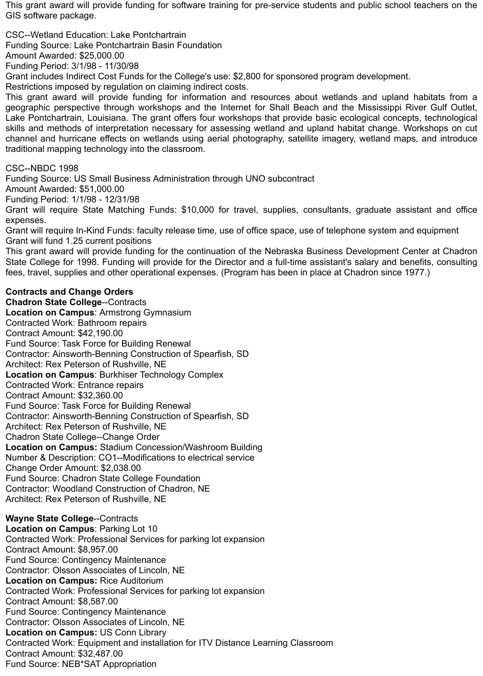This grant award will provide funding for software training for pre-service students and public school teachers on the GIS software package.

CSC--Wetland Education: Lake Pontchartrain

Funding Source: Lake Pontchartrain Basin Foundation

Amount Awarded: \$25,000.00

Funding Period: 3/1/98 - 11/30/98

Grant includes Indirect Cost Funds for the College's use: \$2,800 for sponsored program development.

Restrictions imposed by regulation on claiming indirect costs.

This grant award will provide funding for information and resources about wetlands and upland habitats from a geographic perspective through workshops and the Internet for Shall Beach and the Mississippi River Gulf Outlet, Lake Pontchartrain, Louisiana. The grant offers four workshops that provide basic ecological concepts, technological skills and methods of interpretation necessary for assessing wetland and upland habitat change. Workshops on cut channel and hurricane effects on wetlands using aerial photography, satellite imagery, wetland maps, and introduce traditional mapping technology into the classroom.

CSC--NBDC 1998

Funding Source: US Small Business Administration through UNO subcontract

Amount Awarded: \$51,000.00

Funding Period: 1/1/98 - 12/31/98

Grant will require State Matching Funds: \$10,000 for travel, supplies, consultants, graduate assistant and office expenses.

Grant will require In-Kind Funds: faculty release time, use of office space, use of telephone system and equipment Grant will fund 1.25 current positions

This grant award will provide funding for the continuation of the Nebraska Business Development Center at Chadron State College for 1998. Funding will provide for the Director and a full-time assistant's salary and benefits, consulting fees, travel, supplies and other operational expenses. (Program has been in place at Chadron since 1977.)

# **Contracts and Change Orders**

**Chadron State College**--Contracts **Location on Campus**: Armstrong Gymnasium Contracted Work: Bathroom repairs Contract Amount: \$42,190.00 Fund Source: Task Force for Building Renewal Contractor: Ainsworth-Benning Construction of Spearfish, SD Architect: Rex Peterson of Rushville, NE **Location on Campus**: Burkhiser Technology Complex Contracted Work: Entrance repairs Contract Amount: \$32,360.00 Fund Source: Task Force for Building Renewal Contractor: Ainsworth-Benning Construction of Spearfish, SD Architect: Rex Peterson of Rushville, NE Chadron State College--Change Order **Location on Campus:** Stadium Concession/Washroom Building Number & Description: CO1--Modifications to electrical service Change Order Amount: \$2,038.00 Fund Source: Chadron State College Foundation Contractor: Woodland Construction of Chadron, NE Architect: Rex Peterson of Rushville, NE

**Wayne State College**--Contracts **Location on Campus**: Parking Lot 10 Contracted Work: Professional Services for parking lot expansion Contract Amount: \$8,957.00 Fund Source: Contingency Maintenance Contractor: Olsson Associates of Lincoln, NE **Location on Campus:** Rice Auditorium Contracted Work: Professional Services for parking lot expansion Contract Amount: \$8,587.00 Fund Source: Contingency Maintenance Contractor: Olsson Associates of Lincoln, NE **Location on Campus:** US Conn Library Contracted Work: Equipment and installation for ITV Distance Learning Classroom Contract Amount: \$32,487.00 Fund Source: NEB\*SAT Appropriation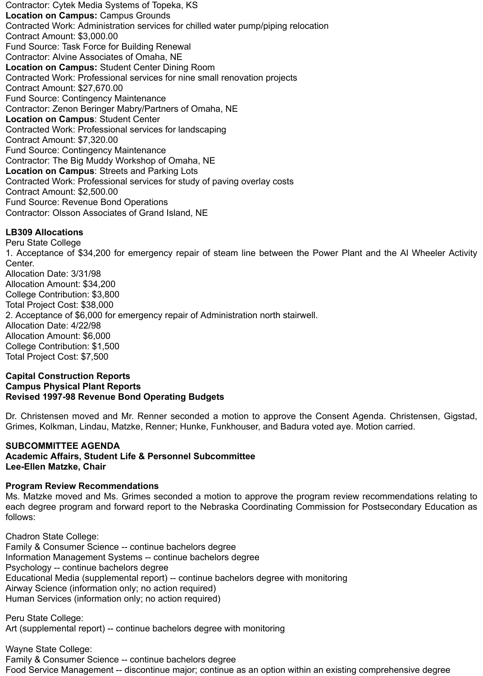Contractor: Cytek Media Systems of Topeka, KS **Location on Campus:** Campus Grounds Contracted Work: Administration services for chilled water pump/piping relocation Contract Amount: \$3,000.00 Fund Source: Task Force for Building Renewal Contractor: Alvine Associates of Omaha, NE **Location on Campus:** Student Center Dining Room Contracted Work: Professional services for nine small renovation projects Contract Amount: \$27,670.00 Fund Source: Contingency Maintenance Contractor: Zenon Beringer Mabry/Partners of Omaha, NE **Location on Campus**: Student Center Contracted Work: Professional services for landscaping Contract Amount: \$7,320.00 Fund Source: Contingency Maintenance Contractor: The Big Muddy Workshop of Omaha, NE **Location on Campus**: Streets and Parking Lots Contracted Work: Professional services for study of paving overlay costs Contract Amount: \$2,500.00 Fund Source: Revenue Bond Operations Contractor: Olsson Associates of Grand Island, NE

# **LB309 Allocations**

Peru State College 1. Acceptance of \$34,200 for emergency repair of steam line between the Power Plant and the Al Wheeler Activity Center. Allocation Date: 3/31/98 Allocation Amount: \$34,200 College Contribution: \$3,800 Total Project Cost: \$38,000 2. Acceptance of \$6,000 for emergency repair of Administration north stairwell. Allocation Date: 4/22/98 Allocation Amount: \$6,000 College Contribution: \$1,500 Total Project Cost: \$7,500

### **Capital Construction Reports Campus Physical Plant Reports Revised 1997-98 Revenue Bond Operating Budgets**

Dr. Christensen moved and Mr. Renner seconded a motion to approve the Consent Agenda. Christensen, Gigstad, Grimes, Kolkman, Lindau, Matzke, Renner; Hunke, Funkhouser, and Badura voted aye. Motion carried.

### **SUBCOMMITTEE AGENDA Academic Affairs, Student Life & Personnel Subcommittee Lee-Ellen Matzke, Chair**

# **Program Review Recommendations**

Ms. Matzke moved and Ms. Grimes seconded a motion to approve the program review recommendations relating to each degree program and forward report to the Nebraska Coordinating Commission for Postsecondary Education as follows:

Chadron State College: Family & Consumer Science -- continue bachelors degree Information Management Systems -- continue bachelors degree Psychology -- continue bachelors degree Educational Media (supplemental report) -- continue bachelors degree with monitoring Airway Science (information only; no action required) Human Services (information only; no action required)

Peru State College: Art (supplemental report) -- continue bachelors degree with monitoring

Wayne State College: Family & Consumer Science -- continue bachelors degree Food Service Management -- discontinue major; continue as an option within an existing comprehensive degree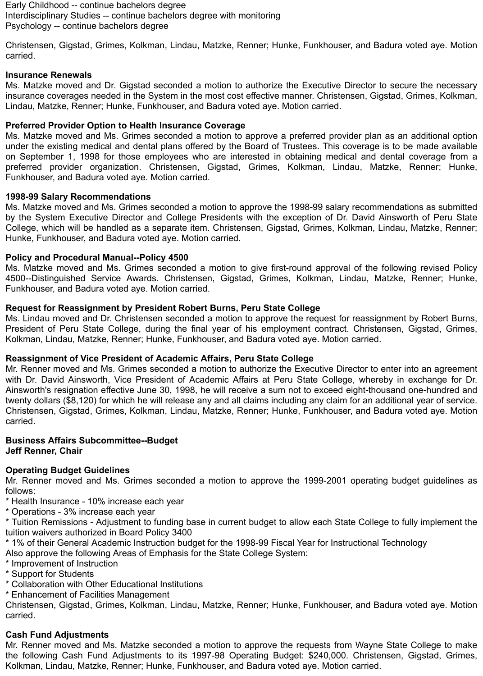Early Childhood -- continue bachelors degree Interdisciplinary Studies -- continue bachelors degree with monitoring Psychology -- continue bachelors degree

Christensen, Gigstad, Grimes, Kolkman, Lindau, Matzke, Renner; Hunke, Funkhouser, and Badura voted aye. Motion carried.

### **Insurance Renewals**

Ms. Matzke moved and Dr. Gigstad seconded a motion to authorize the Executive Director to secure the necessary insurance coverages needed in the System in the most cost effective manner. Christensen, Gigstad, Grimes, Kolkman, Lindau, Matzke, Renner; Hunke, Funkhouser, and Badura voted aye. Motion carried.

### **Preferred Provider Option to Health Insurance Coverage**

Ms. Matzke moved and Ms. Grimes seconded a motion to approve a preferred provider plan as an additional option under the existing medical and dental plans offered by the Board of Trustees. This coverage is to be made available on September 1, 1998 for those employees who are interested in obtaining medical and dental coverage from a preferred provider organization. Christensen, Gigstad, Grimes, Kolkman, Lindau, Matzke, Renner; Hunke, Funkhouser, and Badura voted aye. Motion carried.

### **1998-99 Salary Recommendations**

Ms. Matzke moved and Ms. Grimes seconded a motion to approve the 1998-99 salary recommendations as submitted by the System Executive Director and College Presidents with the exception of Dr. David Ainsworth of Peru State College, which will be handled as a separate item. Christensen, Gigstad, Grimes, Kolkman, Lindau, Matzke, Renner; Hunke, Funkhouser, and Badura voted aye. Motion carried.

### **Policy and Procedural Manual--Policy 4500**

Ms. Matzke moved and Ms. Grimes seconded a motion to give first-round approval of the following revised Policy 4500--Distinguished Service Awards. Christensen, Gigstad, Grimes, Kolkman, Lindau, Matzke, Renner; Hunke, Funkhouser, and Badura voted aye. Motion carried.

### **Request for Reassignment by President Robert Burns, Peru State College**

Ms. Lindau moved and Dr. Christensen seconded a motion to approve the request for reassignment by Robert Burns, President of Peru State College, during the final year of his employment contract. Christensen, Gigstad, Grimes, Kolkman, Lindau, Matzke, Renner; Hunke, Funkhouser, and Badura voted aye. Motion carried.

## **Reassignment of Vice President of Academic Affairs, Peru State College**

Mr. Renner moved and Ms. Grimes seconded a motion to authorize the Executive Director to enter into an agreement with Dr. David Ainsworth, Vice President of Academic Affairs at Peru State College, whereby in exchange for Dr. Ainsworth's resignation effective June 30, 1998, he will receive a sum not to exceed eight-thousand one-hundred and twenty dollars (\$8,120) for which he will release any and all claims including any claim for an additional year of service. Christensen, Gigstad, Grimes, Kolkman, Lindau, Matzke, Renner; Hunke, Funkhouser, and Badura voted aye. Motion carried.

### **Business Affairs Subcommittee--Budget Jeff Renner, Chair**

## **Operating Budget Guidelines**

Mr. Renner moved and Ms. Grimes seconded a motion to approve the 1999-2001 operating budget guidelines as follows:

- \* Health Insurance 10% increase each year
- \* Operations 3% increase each year

\* Tuition Remissions - Adjustment to funding base in current budget to allow each State College to fully implement the tuition waivers authorized in Board Policy 3400

\* 1% of their General Academic Instruction budget for the 1998-99 Fiscal Year for Instructional Technology

Also approve the following Areas of Emphasis for the State College System:

- \* Improvement of Instruction
- \* Support for Students
- \* Collaboration with Other Educational Institutions
- \* Enhancement of Facilities Management

Christensen, Gigstad, Grimes, Kolkman, Lindau, Matzke, Renner; Hunke, Funkhouser, and Badura voted aye. Motion carried.

### **Cash Fund Adjustments**

Mr. Renner moved and Ms. Matzke seconded a motion to approve the requests from Wayne State College to make the following Cash Fund Adjustments to its 1997-98 Operating Budget: \$240,000. Christensen, Gigstad, Grimes, Kolkman, Lindau, Matzke, Renner; Hunke, Funkhouser, and Badura voted aye. Motion carried.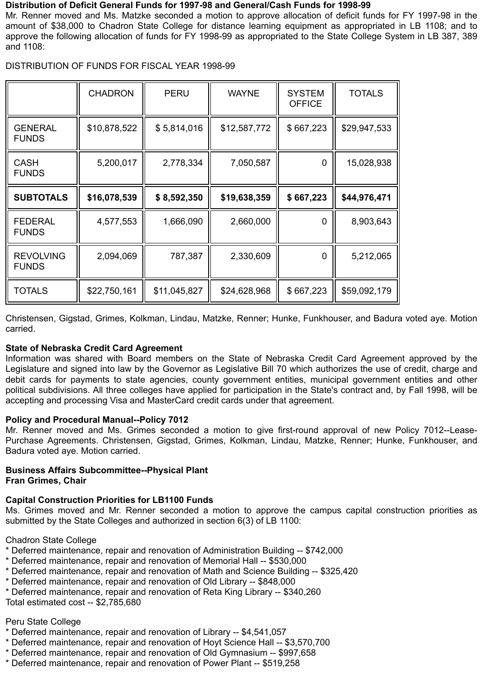### **Distribution of Deficit General Funds for 1997-98 and General/Cash Funds for 1998-99**

Mr. Renner moved and Ms. Matzke seconded a motion to approve allocation of deficit funds for FY 1997-98 in the amount of \$38,000 to Chadron State College for distance learning equipment as appropriated in LB 1108; and to approve the following allocation of funds for FY 1998-99 as appropriated to the State College System in LB 387, 389 and 1108:

DISTRIBUTION OF FUNDS FOR FISCAL YEAR 1998-99

|                                  | <b>CHADRON</b> | <b>PERU</b>  | <b>WAYNE</b> | <b>SYSTEM</b><br><b>OFFICE</b> | <b>TOTALS</b> |
|----------------------------------|----------------|--------------|--------------|--------------------------------|---------------|
| <b>GENERAL</b><br><b>FUNDS</b>   | \$10,878,522   | \$5,814,016  | \$12,587,772 | \$667,223                      | \$29,947,533  |
| <b>CASH</b><br><b>FUNDS</b>      | 5,200,017      | 2,778,334    | 7,050,587    | $\mathbf 0$                    | 15,028,938    |
| <b>SUBTOTALS</b>                 | \$16,078,539   | \$8,592,350  | \$19,638,359 | \$667,223                      | \$44,976,471  |
| <b>FEDERAL</b><br><b>FUNDS</b>   | 4,577,553      | 1,666,090    | 2,660,000    | $\overline{0}$                 | 8,903,643     |
| <b>REVOLVING</b><br><b>FUNDS</b> | 2,094,069      | 787,387      | 2,330,609    | $\overline{0}$                 | 5,212,065     |
| <b>TOTALS</b>                    | \$22,750,161   | \$11,045,827 | \$24,628,968 | \$667,223                      | \$59,092,179  |

Christensen, Gigstad, Grimes, Kolkman, Lindau, Matzke, Renner; Hunke, Funkhouser, and Badura voted aye. Motion carried.

# **State of Nebraska Credit Card Agreement**

Information was shared with Board members on the State of Nebraska Credit Card Agreement approved by the Legislature and signed into law by the Governor as Legislative Bill 70 which authorizes the use of credit, charge and debit cards for payments to state agencies, county government entities, municipal government entities and other political subdivisions. All three colleges have applied for participation in the State's contract and, by Fall 1998, will be accepting and processing Visa and MasterCard credit cards under that agreement.

# **Policy and Procedural Manual--Policy 7012**

Mr. Renner moved and Ms. Grimes seconded a motion to give first-round approval of new Policy 7012--Lease-Purchase Agreements. Christensen, Gigstad, Grimes, Kolkman, Lindau, Matzke, Renner; Hunke, Funkhouser, and Badura voted aye. Motion carried.

### **Business Affairs Subcommittee--Physical Plant Fran Grimes, Chair**

# **Capital Construction Priorities for LB1100 Funds**

Ms. Grimes moved and Mr. Renner seconded a motion to approve the campus capital construction priorities as submitted by the State Colleges and authorized in section 6(3) of LB 1100:

Chadron State College

- \* Deferred maintenance, repair and renovation of Administration Building -- \$742,000
- \* Deferred maintenance, repair and renovation of Memorial Hall -- \$530,000
- \* Deferred maintenance, repair and renovation of Math and Science Building -- \$325,420
- \* Deferred maintenance, repair and renovation of Old Library -- \$848,000
- \* Deferred maintenance, repair and renovation of Reta King Library -- \$340,260

Total estimated cost -- \$2,785,680

# Peru State College

- \* Deferred maintenance, repair and renovation of Library -- \$4,541,057
- \* Deferred maintenance, repair and renovation of Hoyt Science Hall -- \$3,570,700
- \* Deferred maintenance, repair and renovation of Old Gymnasium -- \$997,658
- \* Deferred maintenance, repair and renovation of Power Plant -- \$519,258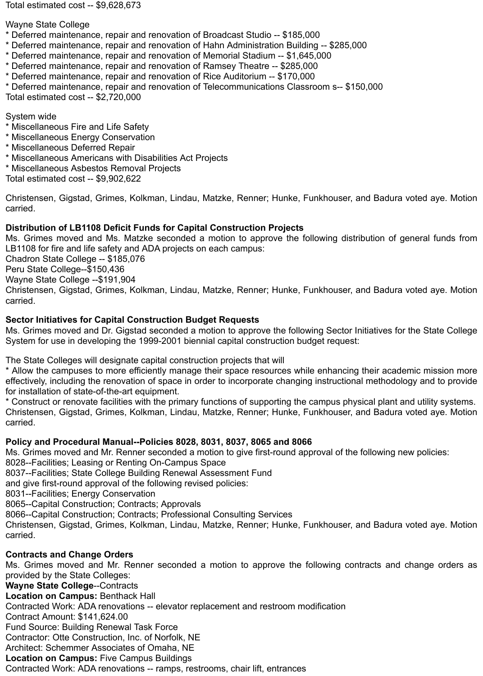Total estimated cost -- \$9,628,673

Wayne State College

- \* Deferred maintenance, repair and renovation of Broadcast Studio -- \$185,000
- \* Deferred maintenance, repair and renovation of Hahn Administration Building -- \$285,000
- \* Deferred maintenance, repair and renovation of Memorial Stadium -- \$1,645,000
- \* Deferred maintenance, repair and renovation of Ramsey Theatre -- \$285,000
- \* Deferred maintenance, repair and renovation of Rice Auditorium -- \$170,000
- \* Deferred maintenance, repair and renovation of Telecommunications Classroom s-- \$150,000

Total estimated cost -- \$2,720,000

System wide

- \* Miscellaneous Fire and Life Safety
- \* Miscellaneous Energy Conservation
- \* Miscellaneous Deferred Repair
- \* Miscellaneous Americans with Disabilities Act Projects
- \* Miscellaneous Asbestos Removal Projects

Total estimated cost -- \$9,902,622

Christensen, Gigstad, Grimes, Kolkman, Lindau, Matzke, Renner; Hunke, Funkhouser, and Badura voted aye. Motion carried.

# **Distribution of LB1108 Deficit Funds for Capital Construction Projects**

Ms. Grimes moved and Ms. Matzke seconded a motion to approve the following distribution of general funds from LB1108 for fire and life safety and ADA projects on each campus:

Chadron State College -- \$185,076

Peru State College--\$150,436

Wayne State College --\$191,904

Christensen, Gigstad, Grimes, Kolkman, Lindau, Matzke, Renner; Hunke, Funkhouser, and Badura voted aye. Motion carried.

# **Sector Initiatives for Capital Construction Budget Requests**

Ms. Grimes moved and Dr. Gigstad seconded a motion to approve the following Sector Initiatives for the State College System for use in developing the 1999-2001 biennial capital construction budget request:

The State Colleges will designate capital construction projects that will

\* Allow the campuses to more efficiently manage their space resources while enhancing their academic mission more effectively, including the renovation of space in order to incorporate changing instructional methodology and to provide for installation of state-of-the-art equipment.

\* Construct or renovate facilities with the primary functions of supporting the campus physical plant and utility systems. Christensen, Gigstad, Grimes, Kolkman, Lindau, Matzke, Renner; Hunke, Funkhouser, and Badura voted aye. Motion carried.

# **Policy and Procedural Manual--Policies 8028, 8031, 8037, 8065 and 8066**

Ms. Grimes moved and Mr. Renner seconded a motion to give first-round approval of the following new policies: 8028--Facilities; Leasing or Renting On-Campus Space

8037--Facilities; State College Building Renewal Assessment Fund

and give first-round approval of the following revised policies:

8031--Facilities; Energy Conservation

8065--Capital Construction; Contracts; Approvals

8066--Capital Construction; Contracts; Professional Consulting Services

Christensen, Gigstad, Grimes, Kolkman, Lindau, Matzke, Renner; Hunke, Funkhouser, and Badura voted aye. Motion carried.

# **Contracts and Change Orders**

Ms. Grimes moved and Mr. Renner seconded a motion to approve the following contracts and change orders as provided by the State Colleges:

**Wayne State College**--Contracts

**Location on Campus:** Benthack Hall

Contracted Work: ADA renovations -- elevator replacement and restroom modification

Contract Amount: \$141,624.00

Fund Source: Building Renewal Task Force

Contractor: Otte Construction, Inc. of Norfolk, NE

Architect: Schemmer Associates of Omaha, NE

**Location on Campus:** Five Campus Buildings

Contracted Work: ADA renovations -- ramps, restrooms, chair lift, entrances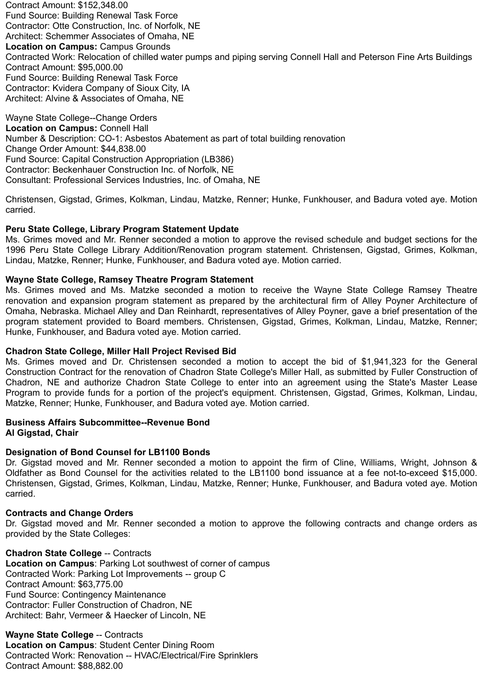Contract Amount: \$152,348.00 Fund Source: Building Renewal Task Force Contractor: Otte Construction, Inc. of Norfolk, NE Architect: Schemmer Associates of Omaha, NE **Location on Campus:** Campus Grounds Contracted Work: Relocation of chilled water pumps and piping serving Connell Hall and Peterson Fine Arts Buildings Contract Amount: \$95,000.00 Fund Source: Building Renewal Task Force Contractor: Kvidera Company of Sioux City, IA Architect: Alvine & Associates of Omaha, NE

Wayne State College--Change Orders **Location on Campus:** Connell Hall Number & Description: CO-1: Asbestos Abatement as part of total building renovation Change Order Amount: \$44,838.00 Fund Source: Capital Construction Appropriation (LB386) Contractor: Beckenhauer Construction Inc. of Norfolk, NE Consultant: Professional Services Industries, Inc. of Omaha, NE

Christensen, Gigstad, Grimes, Kolkman, Lindau, Matzke, Renner; Hunke, Funkhouser, and Badura voted aye. Motion carried.

## **Peru State College, Library Program Statement Update**

Ms. Grimes moved and Mr. Renner seconded a motion to approve the revised schedule and budget sections for the 1996 Peru State College Library Addition/Renovation program statement. Christensen, Gigstad, Grimes, Kolkman, Lindau, Matzke, Renner; Hunke, Funkhouser, and Badura voted aye. Motion carried.

### **Wayne State College, Ramsey Theatre Program Statement**

Ms. Grimes moved and Ms. Matzke seconded a motion to receive the Wayne State College Ramsey Theatre renovation and expansion program statement as prepared by the architectural firm of Alley Poyner Architecture of Omaha, Nebraska. Michael Alley and Dan Reinhardt, representatives of Alley Poyner, gave a brief presentation of the program statement provided to Board members. Christensen, Gigstad, Grimes, Kolkman, Lindau, Matzke, Renner; Hunke, Funkhouser, and Badura voted aye. Motion carried.

### **Chadron State College, Miller Hall Project Revised Bid**

Ms. Grimes moved and Dr. Christensen seconded a motion to accept the bid of \$1,941,323 for the General Construction Contract for the renovation of Chadron State College's Miller Hall, as submitted by Fuller Construction of Chadron, NE and authorize Chadron State College to enter into an agreement using the State's Master Lease Program to provide funds for a portion of the project's equipment. Christensen, Gigstad, Grimes, Kolkman, Lindau, Matzke, Renner; Hunke, Funkhouser, and Badura voted aye. Motion carried.

## **Business Affairs Subcommittee--Revenue Bond**

**Al Gigstad, Chair**

# **Designation of Bond Counsel for LB1100 Bonds**

Dr. Gigstad moved and Mr. Renner seconded a motion to appoint the firm of Cline, Williams, Wright, Johnson & Oldfather as Bond Counsel for the activities related to the LB1100 bond issuance at a fee not-to-exceed \$15,000. Christensen, Gigstad, Grimes, Kolkman, Lindau, Matzke, Renner; Hunke, Funkhouser, and Badura voted aye. Motion carried.

### **Contracts and Change Orders**

Dr. Gigstad moved and Mr. Renner seconded a motion to approve the following contracts and change orders as provided by the State Colleges:

## **Chadron State College** -- Contracts

**Location on Campus**: Parking Lot southwest of corner of campus Contracted Work: Parking Lot Improvements -- group C Contract Amount: \$63,775.00 Fund Source: Contingency Maintenance Contractor: Fuller Construction of Chadron, NE Architect: Bahr, Vermeer & Haecker of Lincoln, NE

**Wayne State College** -- Contracts **Location on Campus**: Student Center Dining Room Contracted Work: Renovation -- HVAC/Electrical/Fire Sprinklers Contract Amount: \$88,882.00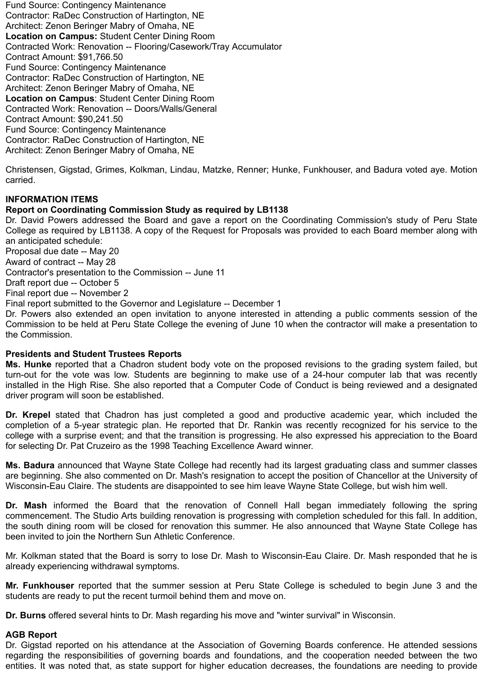Fund Source: Contingency Maintenance Contractor: RaDec Construction of Hartington, NE Architect: Zenon Beringer Mabry of Omaha, NE **Location on Campus:** Student Center Dining Room Contracted Work: Renovation -- Flooring/Casework/Tray Accumulator Contract Amount: \$91,766.50 Fund Source: Contingency Maintenance Contractor: RaDec Construction of Hartington, NE Architect: Zenon Beringer Mabry of Omaha, NE **Location on Campus**: Student Center Dining Room Contracted Work: Renovation -- Doors/Walls/General Contract Amount: \$90,241.50 Fund Source: Contingency Maintenance Contractor: RaDec Construction of Hartington, NE Architect: Zenon Beringer Mabry of Omaha, NE

Christensen, Gigstad, Grimes, Kolkman, Lindau, Matzke, Renner; Hunke, Funkhouser, and Badura voted aye. Motion carried.

## **INFORMATION ITEMS**

### **Report on Coordinating Commission Study as required by LB1138**

Dr. David Powers addressed the Board and gave a report on the Coordinating Commission's study of Peru State College as required by LB1138. A copy of the Request for Proposals was provided to each Board member along with an anticipated schedule: Proposal due date -- May 20

Award of contract -- May 28

Contractor's presentation to the Commission -- June 11

Draft report due -- October 5

Final report due -- November 2

Final report submitted to the Governor and Legislature -- December 1

Dr. Powers also extended an open invitation to anyone interested in attending a public comments session of the Commission to be held at Peru State College the evening of June 10 when the contractor will make a presentation to the Commission.

### **Presidents and Student Trustees Reports**

**Ms. Hunke** reported that a Chadron student body vote on the proposed revisions to the grading system failed, but turn-out for the vote was low. Students are beginning to make use of a 24-hour computer lab that was recently installed in the High Rise. She also reported that a Computer Code of Conduct is being reviewed and a designated driver program will soon be established.

**Dr. Krepel** stated that Chadron has just completed a good and productive academic year, which included the completion of a 5-year strategic plan. He reported that Dr. Rankin was recently recognized for his service to the college with a surprise event; and that the transition is progressing. He also expressed his appreciation to the Board for selecting Dr. Pat Cruzeiro as the 1998 Teaching Excellence Award winner.

**Ms. Badura** announced that Wayne State College had recently had its largest graduating class and summer classes are beginning. She also commented on Dr. Mash's resignation to accept the position of Chancellor at the University of Wisconsin-Eau Claire. The students are disappointed to see him leave Wayne State College, but wish him well.

**Dr. Mash** informed the Board that the renovation of Connell Hall began immediately following the spring commencement. The Studio Arts building renovation is progressing with completion scheduled for this fall. In addition, the south dining room will be closed for renovation this summer. He also announced that Wayne State College has been invited to join the Northern Sun Athletic Conference.

Mr. Kolkman stated that the Board is sorry to lose Dr. Mash to Wisconsin-Eau Claire. Dr. Mash responded that he is already experiencing withdrawal symptoms.

**Mr. Funkhouser** reported that the summer session at Peru State College is scheduled to begin June 3 and the students are ready to put the recent turmoil behind them and move on.

**Dr. Burns** offered several hints to Dr. Mash regarding his move and "winter survival" in Wisconsin.

### **AGB Report**

Dr. Gigstad reported on his attendance at the Association of Governing Boards conference. He attended sessions regarding the responsibilities of governing boards and foundations, and the cooperation needed between the two entities. It was noted that, as state support for higher education decreases, the foundations are needing to provide